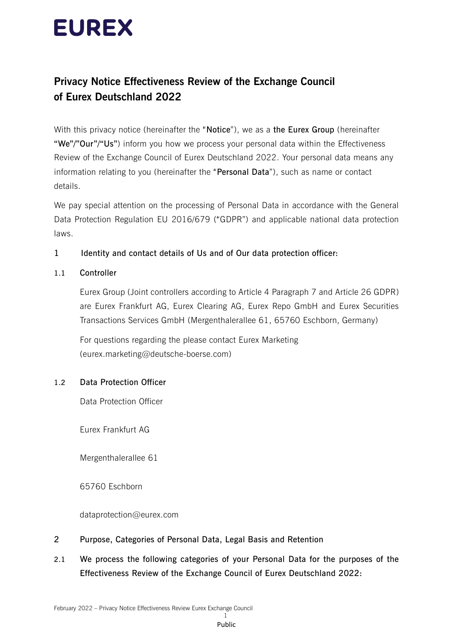# **EUREX**

# **Privacy Notice Effectiveness Review of the Exchange Council of Eurex Deutschland 2022**

With this privacy notice (hereinafter the "**Notice**"), we as a **the Eurex Group** (hereinafter **"We"/"Our"/"Us"**) inform you how we process your personal data within the Effectiveness Review of the Exchange Council of Eurex Deutschland 2022. Your personal data means any information relating to you (hereinafter the "**Personal Data**"), such as name or contact details.

We pay special attention on the processing of Personal Data in accordance with the General Data Protection Regulation EU 2016/679 ("GDPR") and applicable national data protection laws.

## **1 Identity and contact details of Us and of Our data protection officer:**

## **1.1 Controller**

Eurex Group (Joint controllers according to Article 4 Paragraph 7 and Article 26 GDPR) are Eurex Frankfurt AG, Eurex Clearing AG, Eurex Repo GmbH and Eurex Securities Transactions Services GmbH (Mergenthalerallee 61, 65760 Eschborn, Germany)

For questions regarding the please contact Eurex Marketing (eurex.marketing@deutsche-boerse.com)

## **1.2 Data Protection Officer**

Data Protection Officer

Eurex Frankfurt AG

Mergenthalerallee 61

65760 Eschborn

dataprotection@eurex.com

- **2 Purpose, Categories of Personal Data, Legal Basis and Retention**
- **2.1 We process the following categories of your Personal Data for the purposes of the Effectiveness Review of the Exchange Council of Eurex Deutschland 2022:**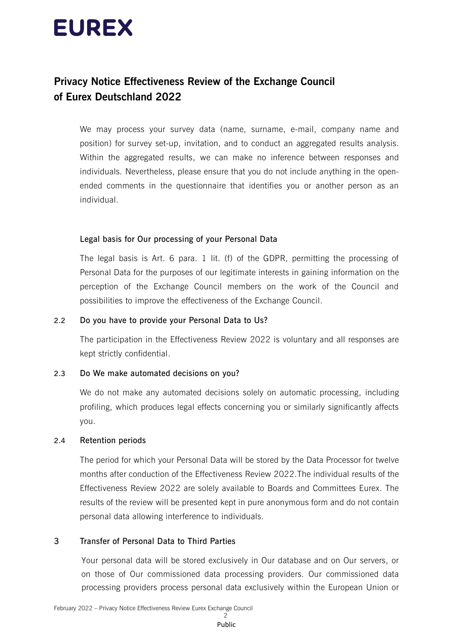# **EUREX**

# **Privacy Notice Effectiveness Review of the Exchange Council of Eurex Deutschland 2022**

We may process your survey data (name, surname, e-mail, company name and position) for survey set-up, invitation, and to conduct an aggregated results analysis. Within the aggregated results, we can make no inference between responses and individuals. Nevertheless, please ensure that you do not include anything in the openended comments in the questionnaire that identifies you or another person as an individual.

#### **Legal basis for Our processing of your Personal Data**

The legal basis is Art. 6 para. 1 lit. (f) of the GDPR, permitting the processing of Personal Data for the purposes of our legitimate interests in gaining information on the perception of the Exchange Council members on the work of the Council and possibilities to improve the effectiveness of the Exchange Council.

#### **2.2 Do you have to provide your Personal Data to Us?**

The participation in the Effectiveness Review 2022 is voluntary and all responses are kept strictly confidential.

## **2.3 Do We make automated decisions on you?**

We do not make any automated decisions solely on automatic processing, including profiling, which produces legal effects concerning you or similarly significantly affects you.

#### **2.4 Retention periods**

The period for which your Personal Data will be stored by the Data Processor for twelve months after conduction of the Effectiveness Review 2022.The individual results of the Effectiveness Review 2022 are solely available to Boards and Committees Eurex. The results of the review will be presented kept in pure anonymous form and do not contain personal data allowing interference to individuals.

## **3 Transfer of Personal Data to Third Parties**

Your personal data will be stored exclusively in Our database and on Our servers, or on those of Our commissioned data processing providers. Our commissioned data processing providers process personal data exclusively within the European Union or